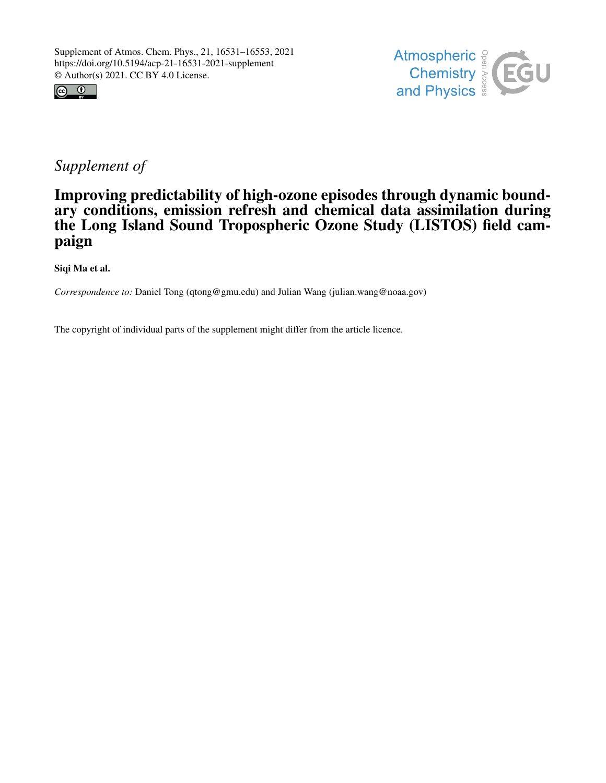



## *Supplement of*

## Improving predictability of high-ozone episodes through dynamic boundary conditions, emission refresh and chemical data assimilation during the Long Island Sound Tropospheric Ozone Study (LISTOS) field campaign

Siqi Ma et al.

*Correspondence to:* Daniel Tong (qtong@gmu.edu) and Julian Wang (julian.wang@noaa.gov)

The copyright of individual parts of the supplement might differ from the article licence.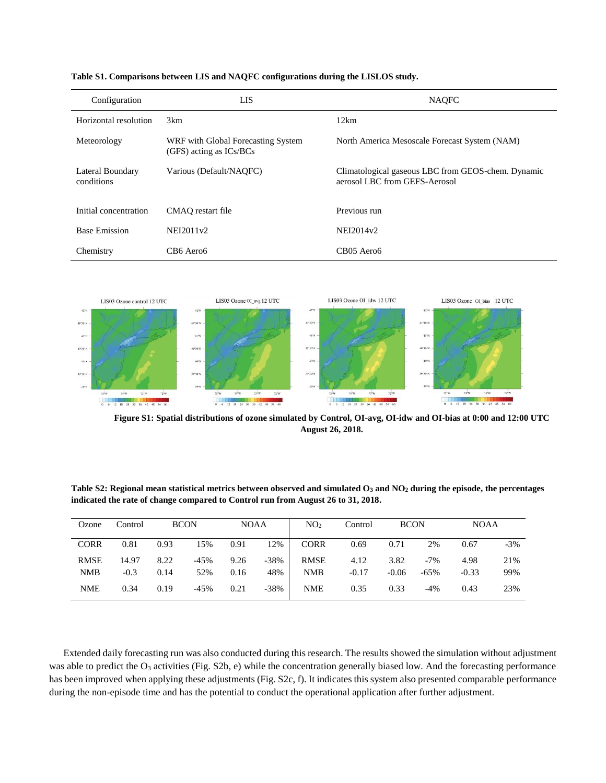| Configuration                  | LIS                                                               | <b>NAQFC</b>                                                                        |
|--------------------------------|-------------------------------------------------------------------|-------------------------------------------------------------------------------------|
| Horizontal resolution          | 3km                                                               | 12km                                                                                |
| Meteorology                    | WRF with Global Forecasting System<br>$(GFS)$ acting as $ICs/BCs$ | North America Mesoscale Forecast System (NAM)                                       |
| Lateral Boundary<br>conditions | Various (Default/NAOFC)                                           | Climatological gaseous LBC from GEOS-chem. Dynamic<br>aerosol LBC from GEFS-Aerosol |
| Initial concentration          | CMAO restart file                                                 | Previous run                                                                        |
| <b>Base Emission</b>           | NEI2011v2                                                         | NEI2014v2                                                                           |
| Chemistry                      | CB6 Aero6                                                         | CB05 Aero6                                                                          |

| Table S1. Comparisons between LIS and NAQFC configurations during the LISLOS study. |  |  |
|-------------------------------------------------------------------------------------|--|--|
|-------------------------------------------------------------------------------------|--|--|



**Figure S1: Spatial distributions of ozone simulated by Control, OI-avg, OI-idw and OI-bias at 0:00 and 12:00 UTC August 26, 2018.**

**Table S2: Regional mean statistical metrics between observed and simulated O<sup>3</sup> and NO<sup>2</sup> during the episode, the percentages indicated the rate of change compared to Control run from August 26 to 31, 2018.**

| Ozone                     | Control         |              | <b>BCON</b>   | <b>NOAA</b>  |             | NO <sub>2</sub>           | Control         | <b>BCON</b>     |                 | <b>NOAA</b>     |            |
|---------------------------|-----------------|--------------|---------------|--------------|-------------|---------------------------|-----------------|-----------------|-----------------|-----------------|------------|
| <b>CORR</b>               | 0.81            | 0.93         | 15%           | 0.91         | 12%         | <b>CORR</b>               | 0.69            | 0.71            | 2%              | 0.67            | $-3%$      |
| <b>RMSE</b><br><b>NMB</b> | 14.97<br>$-0.3$ | 8.22<br>0.14 | $-45%$<br>52% | 9.26<br>0.16 | -38%<br>48% | <b>RMSE</b><br><b>NMB</b> | 4.12<br>$-0.17$ | 3.82<br>$-0.06$ | $-7%$<br>$-65%$ | 4.98<br>$-0.33$ | 21%<br>99% |
| <b>NME</b>                | 0.34            | 0.19         | $-45%$        | 0.21         | -38%        | <b>NME</b>                | 0.35            | 0.33            | $-4%$           | 0.43            | 23%        |

Extended daily forecasting run was also conducted during this research. The results showed the simulation without adjustment was able to predict the  $O_3$  activities (Fig. S2b, e) while the concentration generally biased low. And the forecasting performance has been improved when applying these adjustments (Fig. S2c, f). It indicates this system also presented comparable performance during the non-episode time and has the potential to conduct the operational application after further adjustment.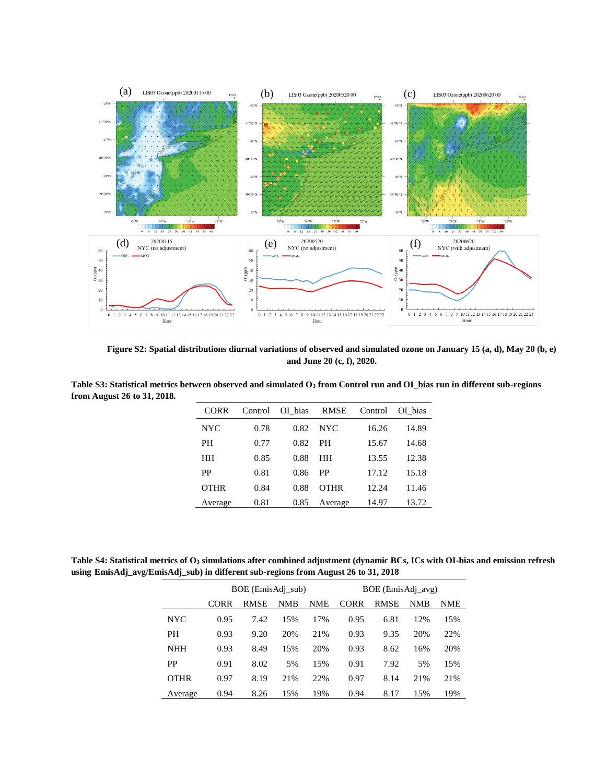

**Figure S2: Spatial distributions diurnal variations of observed and simulated ozone on January 15 (a, d), May 20 (b, e) and June 20 (c, f), 2020.**

| Table S3: Statistical metrics between observed and simulated $O_3$ from Control run and OI bias run in different sub-regions |        |                                        |  |  |  |
|------------------------------------------------------------------------------------------------------------------------------|--------|----------------------------------------|--|--|--|
| from August 26 to 31, 2018.                                                                                                  |        |                                        |  |  |  |
|                                                                                                                              | $\cap$ | Control OI hips, DMCE, Control OI hips |  |  |  |

| CORR        | Control | OI bias RMSE |             | Control | OI bias |
|-------------|---------|--------------|-------------|---------|---------|
| <b>NYC</b>  | 0.78    | 0.82         | NYC.        | 16.26   | 14.89   |
| PН          | 0.77    | 0.82         | <b>PH</b>   | 15.67   | 14.68   |
| HН          | 0.85    | 0.88         | HН          | 13.55   | 12.38   |
| PP          | 0.81    | 0.86         | PP          | 17.12   | 15.18   |
| <b>OTHR</b> | 0.84    | 0.88         | <b>OTHR</b> | 12.24   | 11.46   |
| Average     | 0.81    | 0.85         | Average     | 14.97   | 13.72   |

**Table S4: Statistical metrics of O<sup>3</sup> simulations after combined adjustment (dynamic BCs, ICs with OI-bias and emission refresh using EmisAdj\_avg/EmisAdj\_sub) in different sub-regions from August 26 to 31, 2018**

|             |      | BOE (EmisAdj_sub) |     | BOE (EmisAdj_avg) |      |             |            |            |  |  |
|-------------|------|-------------------|-----|-------------------|------|-------------|------------|------------|--|--|
|             | CORR | <b>RMSE</b>       | NMB | <b>NME</b>        | CORR | <b>RMSE</b> | <b>NMB</b> | <b>NME</b> |  |  |
| <b>NYC</b>  | 0.95 | 7.42              | 15% | 17%               | 0.95 | 6.81        | 12%        | 15%        |  |  |
| PH          | 0.93 | 9.20              | 20% | 21%               | 0.93 | 9.35        | 20%        | 22%        |  |  |
| <b>NHH</b>  | 0.93 | 8.49              | 15% | 20%               | 0.93 | 8.62        | 16%        | 20%        |  |  |
| PP          | 0.91 | 8.02              | 5%  | 15%               | 0.91 | 7.92        | 5%         | 15%        |  |  |
| <b>OTHR</b> | 0.97 | 8.19              | 21% | 22%               | 0.97 | 8.14        | 21%        | 21%        |  |  |
| Average     | 0.94 | 8.26              | 15% | 19%               | 0.94 | 8.17        | 15%        | 19%        |  |  |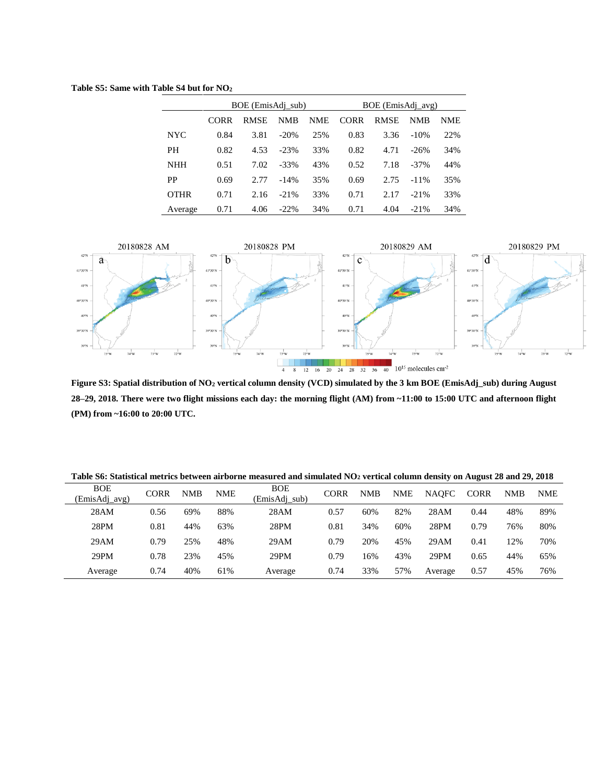**Table S5: Same with Table S4 but for NO<sup>2</sup>**

|             |      | BOE (EmisAdj sub) |         | BOE (EmisAdj_avg) |             |             |            |     |  |  |
|-------------|------|-------------------|---------|-------------------|-------------|-------------|------------|-----|--|--|
|             | CORR | <b>RMSE</b>       | NMB     | <b>NME</b>        | <b>CORR</b> | <b>RMSE</b> | <b>NMB</b> | NME |  |  |
| <b>NYC</b>  | 0.84 | 3.81              | $-20%$  | 25%               | 0.83        | 3.36        | $-10%$     | 22% |  |  |
| PH          | 0.82 | 4.53              | $-23%$  | 33%               | 0.82        | 4.71        | $-26%$     | 34% |  |  |
| <b>NHH</b>  | 0.51 | 7.02              | $-33\%$ | 43%               | 0.52        | 7.18        | $-37\%$    | 44% |  |  |
| PP          | 0.69 | 2.77              | $-14%$  | 35%               | 0.69        | 2.75        | $-11\%$    | 35% |  |  |
| <b>OTHR</b> | 0.71 | 2.16              | $-21%$  | 33%               | 0.71        | 2.17        | $-21%$     | 33% |  |  |
| Average     | 0.71 | 4.06              | $-22\%$ | 34%               | 0.71        | 4.04        | $-21%$     | 34% |  |  |



**Figure S3: Spatial distribution of NO<sup>2</sup> vertical column density (VCD) simulated by the 3 km BOE (EmisAdj\_sub) during August 28–29, 2018. There were two flight missions each day: the morning flight (AM) from ~11:00 to 15:00 UTC and afternoon flight (PM) from ~16:00 to 20:00 UTC.**

| Table S6: Statistical metrics between airborne measured and simulated NO <sub>2</sub> vertical column density on August 28 and 29, 2018 |  |  |  |  |  |  |  |  |  |  |  |  |  |
|-----------------------------------------------------------------------------------------------------------------------------------------|--|--|--|--|--|--|--|--|--|--|--|--|--|
|-----------------------------------------------------------------------------------------------------------------------------------------|--|--|--|--|--|--|--|--|--|--|--|--|--|

| <b>BOE</b><br>(EmisAdj_avg) | <b>CORR</b> | <b>NMB</b> | NME | <b>BOE</b><br>(EmisAdj sub) | <b>CORR</b> | <b>NMB</b> | <b>NME</b> | <b>NAOFC</b> | <b>CORR</b> | <b>NMB</b> | <b>NME</b> |
|-----------------------------|-------------|------------|-----|-----------------------------|-------------|------------|------------|--------------|-------------|------------|------------|
| 28AM                        | 0.56        | 69%        | 88% | 28AM                        | 0.57        | 60%        | 82%        | 28AM         | 0.44        | 48%        | 89%        |
| 28PM                        | 0.81        | 44%        | 63% | 28PM                        | 0.81        | 34%        | 60%        | 28PM         | 0.79        | 76%        | 80%        |
| 29AM                        | 0.79        | 25%        | 48% | 29AM                        | 0.79        | 20%        | 45%        | 29AM         | 0.41        | 12%        | 70%        |
| 29PM                        | 0.78        | 23%        | 45% | 29PM                        | 0.79        | 16%        | 43%        | 29PM         | 0.65        | 44%        | 65%        |
| Average                     | 0.74        | 40%        | 61% | Average                     | 0.74        | 33%        | 57%        | Average      | 0.57        | 45%        | 76%        |